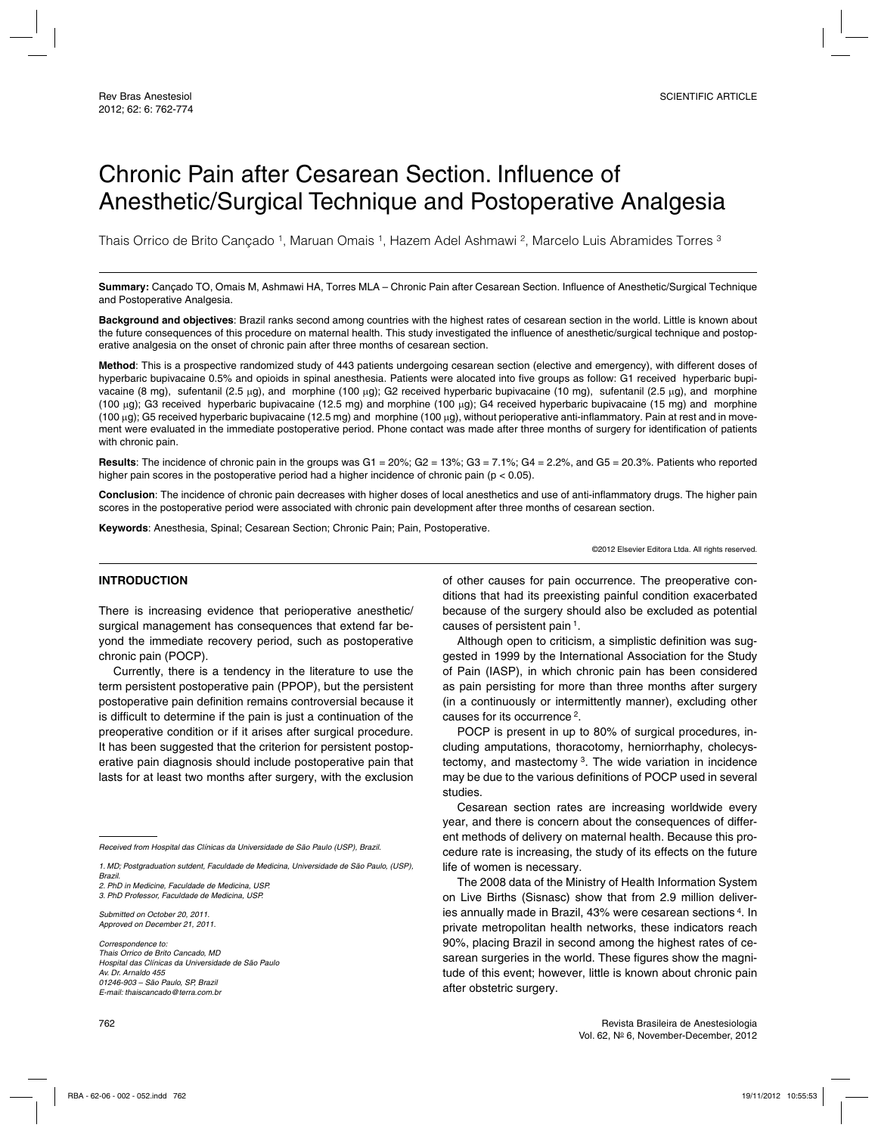# Chronic Pain after Cesarean Section. Influence of Anesthetic/Surgical Technique and Postoperative Analgesia

Thais Orrico de Brito Cancado 1, Maruan Omais 1, Hazem Adel Ashmawi <sup>2</sup>, Marcelo Luis Abramides Torres <sup>3</sup>

**Summary:** Cançado TO, Omais M, Ashmawi HA, Torres MLA – Chronic Pain after Cesarean Section. Influence of Anesthetic/Surgical Technique and Postoperative Analgesia.

**Background and objectives**: Brazil ranks second among countries with the highest rates of cesarean section in the world. Little is known about the future consequences of this procedure on maternal health. This study investigated the influence of anesthetic/surgical technique and postoperative analgesia on the onset of chronic pain after three months of cesarean section.

**Method**: This is a prospective randomized study of 443 patients undergoing cesarean section (elective and emergency), with different doses of hyperbaric bupivacaine 0.5% and opioids in spinal anesthesia. Patients were alocated into five groups as follow: G1 received hyperbaric bupivacaine (8 mg), sufentanil (2.5 µg), and morphine (100 µg); G2 received hyperbaric bupivacaine (10 mg), sufentanil (2.5 µg), and morphine (100 µg); G3 received hyperbaric bupivacaine (12.5 mg) and morphine (100 µg); G4 received hyperbaric bupivacaine (15 mg) and morphine (100 µg); G5 received hyperbaric bupivacaine (12.5 mg) and morphine (100 µg), without perioperative anti-inflammatory. Pain at rest and in movement were evaluated in the immediate postoperative period. Phone contact was made after three months of surgery for identification of patients with chronic pain.

**Results**: The incidence of chronic pain in the groups was G1 = 20%; G2 = 13%; G3 = 7.1%; G4 = 2.2%, and G5 = 20.3%. Patients who reported higher pain scores in the postoperative period had a higher incidence of chronic pain ( $p < 0.05$ ).

**Conclusion**: The incidence of chronic pain decreases with higher doses of local anesthetics and use of anti-inflammatory drugs. The higher pain scores in the postoperative period were associated with chronic pain development after three months of cesarean section.

**Keywords**: Anesthesia, Spinal; Cesarean Section; Chronic Pain; Pain, Postoperative.

©2012 Elsevier Editora Ltda. All rights reserved.

#### **INTRODUCTION**

There is increasing evidence that perioperative anesthetic/ surgical management has consequences that extend far beyond the immediate recovery period, such as postoperative chronic pain (POCP).

Currently, there is a tendency in the literature to use the term persistent postoperative pain (PPOP), but the persistent postoperative pain definition remains controversial because it is difficult to determine if the pain is just a continuation of the preoperative condition or if it arises after surgical procedure. It has been suggested that the criterion for persistent postoperative pain diagnosis should include postoperative pain that lasts for at least two months after surgery, with the exclusion

Received from Hospital das Clínicas da Universidade de São Paulo (USP), Brazil.

2. PhD in Medicine, Faculdade de Medicina, USP.

3. PhD Professor, Faculdade de Medicina, USP.

Submitted on October 20, 2011. Approved on December 21, 2011.

Correspondence to: Thais Orrico de Brito Cancado, MD Hospital das Clínicas da Universidade de São Paulo Av. Dr. Arnaldo 455 01246-903 – São Paulo, SP, Brazil E-mail: thaiscancado@terra.com.br

of other causes for pain occurrence. The preoperative conditions that had its preexisting painful condition exacerbated because of the surgery should also be excluded as potential causes of persistent pain 1.

Although open to criticism, a simplistic definition was suggested in 1999 by the International Association for the Study of Pain (IASP), in which chronic pain has been considered as pain persisting for more than three months after surgery (in a continuously or intermittently manner), excluding other causes for its occurrence 2.

POCP is present in up to 80% of surgical procedures, including amputations, thoracotomy, herniorrhaphy, cholecystectomy, and mastectomy 3. The wide variation in incidence may be due to the various definitions of POCP used in several studies.

Cesarean section rates are increasing worldwide every year, and there is concern about the consequences of different methods of delivery on maternal health. Because this procedure rate is increasing, the study of its effects on the future life of women is necessary.

The 2008 data of the Ministry of Health Information System on Live Births (Sisnasc) show that from 2.9 million deliveries annually made in Brazil, 43% were cesarean sections 4. In private metropolitan health networks, these indicators reach 90%, placing Brazil in second among the highest rates of cesarean surgeries in the world. These figures show the magnitude of this event; however, little is known about chronic pain after obstetric surgery.

<sup>1.</sup> MD; Postgraduation sutdent, Faculdade de Medicina, Universidade de São Paulo, (USP), Brazil.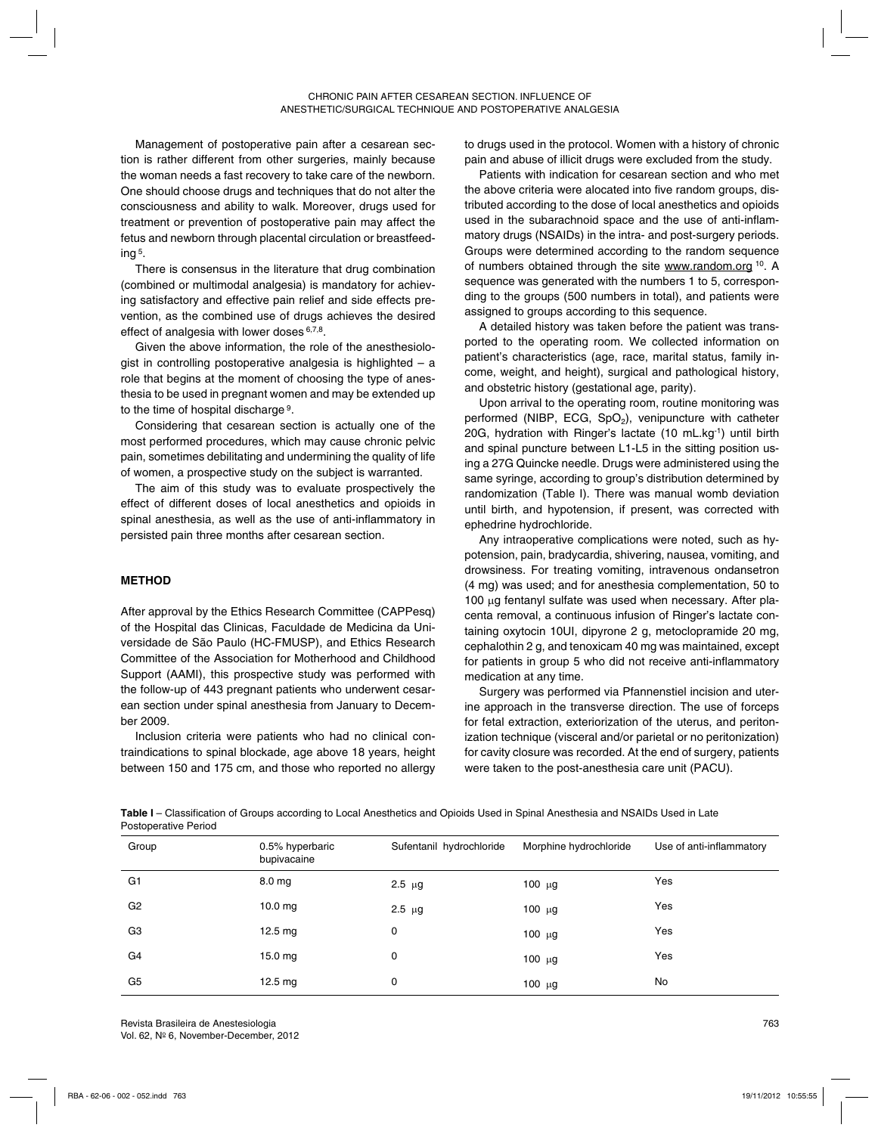Management of postoperative pain after a cesarean section is rather different from other surgeries, mainly because the woman needs a fast recovery to take care of the newborn. One should choose drugs and techniques that do not alter the consciousness and ability to walk. Moreover, drugs used for treatment or prevention of postoperative pain may affect the fetus and newborn through placental circulation or breastfeeding 5.

There is consensus in the literature that drug combination (combined or multimodal analgesia) is mandatory for achieving satisfactory and effective pain relief and side effects prevention, as the combined use of drugs achieves the desired effect of analgesia with lower doses 6,7,8.

Given the above information, the role of the anesthesiologist in controlling postoperative analgesia is highlighted – a role that begins at the moment of choosing the type of anesthesia to be used in pregnant women and may be extended up to the time of hospital discharge 9.

Considering that cesarean section is actually one of the most performed procedures, which may cause chronic pelvic pain, sometimes debilitating and undermining the quality of life of women, a prospective study on the subject is warranted.

The aim of this study was to evaluate prospectively the effect of different doses of local anesthetics and opioids in spinal anesthesia, as well as the use of anti-inflammatory in persisted pain three months after cesarean section.

## **METHOD**

After approval by the Ethics Research Committee (CAPPesq) of the Hospital das Clinicas, Faculdade de Medicina da Universidade de São Paulo (HC-FMUSP), and Ethics Research Committee of the Association for Motherhood and Childhood Support (AAMI), this prospective study was performed with the follow-up of 443 pregnant patients who underwent cesarean section under spinal anesthesia from January to December 2009.

Inclusion criteria were patients who had no clinical contraindications to spinal blockade, age above 18 years, height between 150 and 175 cm, and those who reported no allergy to drugs used in the protocol. Women with a history of chronic pain and abuse of illicit drugs were excluded from the study.

Patients with indication for cesarean section and who met the above criteria were alocated into five random groups, distributed according to the dose of local anesthetics and opioids used in the subarachnoid space and the use of anti-inflammatory drugs (NSAIDs) in the intra- and post-surgery periods. Groups were determined according to the random sequence of numbers obtained through the site www.random.org <sup>10</sup>. A sequence was generated with the numbers 1 to 5, corresponding to the groups (500 numbers in total), and patients were assigned to groups according to this sequence.

A detailed history was taken before the patient was transported to the operating room. We collected information on patient's characteristics (age, race, marital status, family income, weight, and height), surgical and pathological history, and obstetric history (gestational age, parity).

Upon arrival to the operating room, routine monitoring was performed (NIBP, ECG,  $SpO<sub>2</sub>$ ), venipuncture with catheter 20G, hydration with Ringer's lactate (10 mL.kg-1) until birth and spinal puncture between L1-L5 in the sitting position using a 27G Quincke needle. Drugs were administered using the same syringe, according to group's distribution determined by randomization (Table I). There was manual womb deviation until birth, and hypotension, if present, was corrected with ephedrine hydrochloride.

Any intraoperative complications were noted, such as hypotension, pain, bradycardia, shivering, nausea, vomiting, and drowsiness. For treating vomiting, intravenous ondansetron (4 mg) was used; and for anesthesia complementation, 50 to 100 µg fentanyl sulfate was used when necessary. After placenta removal, a continuous infusion of Ringer's lactate containing oxytocin 10UI, dipyrone 2 g, metoclopramide 20 mg, cephalothin 2 g, and tenoxicam 40 mg was maintained, except for patients in group 5 who did not receive anti-inflammatory medication at any time.

Surgery was performed via Pfannenstiel incision and uterine approach in the transverse direction. The use of forceps for fetal extraction, exteriorization of the uterus, and peritonization technique (visceral and/or parietal or no peritonization) for cavity closure was recorded. At the end of surgery, patients were taken to the post-anesthesia care unit (PACU).

**Table I** – Classification of Groups according to Local Anesthetics and Opioids Used in Spinal Anesthesia and NSAIDs Used in Late Postoperative Period

| Group          | 0.5% hyperbaric<br>bupivacaine | Sufentanil hydrochloride | Morphine hydrochloride | Use of anti-inflammatory |
|----------------|--------------------------------|--------------------------|------------------------|--------------------------|
| G <sub>1</sub> | 8.0 <sub>mg</sub>              | $2.5 \mu g$              | 100 $\mu$ g            | Yes                      |
| G <sub>2</sub> | $10.0$ mg                      | $2.5 \mu g$              | 100 $\mu$ g            | Yes                      |
| G <sub>3</sub> | $12.5 \text{ mg}$              | 0                        | $100 \mu g$            | Yes                      |
| G <sub>4</sub> | $15.0$ mg                      | 0                        | 100 $\mu$ g            | Yes                      |
| G <sub>5</sub> | $12.5 \text{ mg}$              | 0                        | 100 $\mu$ g            | No                       |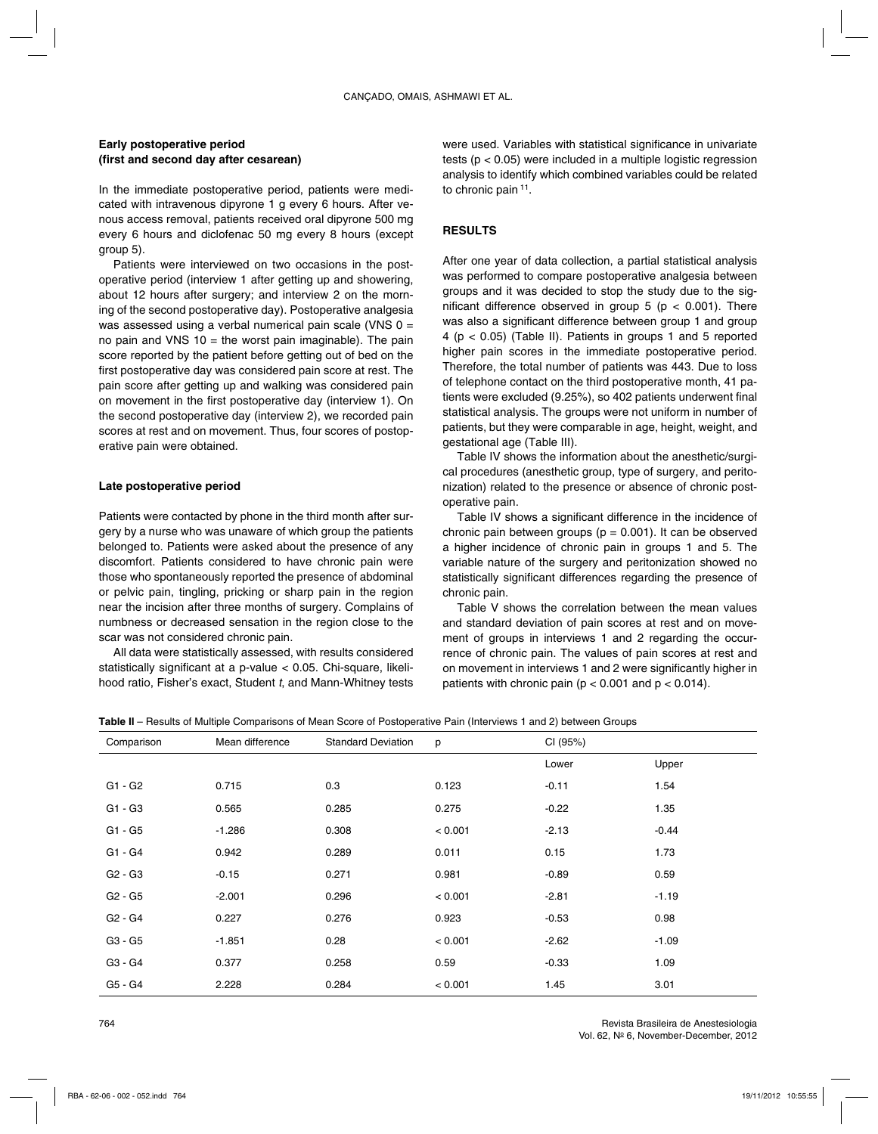## **Early postoperative period (first and second day after cesarean)**

In the immediate postoperative period, patients were medicated with intravenous dipyrone 1 g every 6 hours. After venous access removal, patients received oral dipyrone 500 mg every 6 hours and diclofenac 50 mg every 8 hours (except group 5).

Patients were interviewed on two occasions in the postoperative period (interview 1 after getting up and showering, about 12 hours after surgery; and interview 2 on the morning of the second postoperative day). Postoperative analgesia was assessed using a verbal numerical pain scale (VNS  $0 =$ no pain and VNS  $10 =$  the worst pain imaginable). The pain score reported by the patient before getting out of bed on the first postoperative day was considered pain score at rest. The pain score after getting up and walking was considered pain on movement in the first postoperative day (interview 1). On the second postoperative day (interview 2), we recorded pain scores at rest and on movement. Thus, four scores of postoperative pain were obtained.

## **Late postoperative period**

Patients were contacted by phone in the third month after surgery by a nurse who was unaware of which group the patients belonged to. Patients were asked about the presence of any discomfort. Patients considered to have chronic pain were those who spontaneously reported the presence of abdominal or pelvic pain, tingling, pricking or sharp pain in the region near the incision after three months of surgery. Complains of numbness or decreased sensation in the region close to the scar was not considered chronic pain.

All data were statistically assessed, with results considered statistically significant at a p-value < 0.05. Chi-square, likelihood ratio, Fisher's exact, Student t, and Mann-Whitney tests

were used. Variables with statistical significance in univariate tests (p < 0.05) were included in a multiple logistic regression analysis to identify which combined variables could be related to chronic pain 11.

## **RESULTS**

After one year of data collection, a partial statistical analysis was performed to compare postoperative analgesia between groups and it was decided to stop the study due to the significant difference observed in group  $5$  ( $p < 0.001$ ). There was also a significant difference between group 1 and group 4 (p < 0.05) (Table II). Patients in groups 1 and 5 reported higher pain scores in the immediate postoperative period. Therefore, the total number of patients was 443. Due to loss of telephone contact on the third postoperative month, 41 patients were excluded (9.25%), so 402 patients underwent final statistical analysis. The groups were not uniform in number of patients, but they were comparable in age, height, weight, and gestational age (Table III).

Table IV shows the information about the anesthetic/surgical procedures (anesthetic group, type of surgery, and peritonization) related to the presence or absence of chronic postoperative pain.

Table IV shows a significant difference in the incidence of chronic pain between groups ( $p = 0.001$ ). It can be observed a higher incidence of chronic pain in groups 1 and 5. The variable nature of the surgery and peritonization showed no statistically significant differences regarding the presence of chronic pain.

Table V shows the correlation between the mean values and standard deviation of pain scores at rest and on movement of groups in interviews 1 and 2 regarding the occurrence of chronic pain. The values of pain scores at rest and on movement in interviews 1 and 2 were significantly higher in patients with chronic pain ( $p < 0.001$  and  $p < 0.014$ ).

|  | Table II – Results of Multiple Comparisons of Mean Score of Postoperative Pain (Interviews 1 and 2) between Groups |  |  |  |
|--|--------------------------------------------------------------------------------------------------------------------|--|--|--|
|  |                                                                                                                    |  |  |  |

| Comparison                      | Mean difference | <b>Standard Deviation</b> | p       | CI (95%) |         |
|---------------------------------|-----------------|---------------------------|---------|----------|---------|
|                                 |                 |                           |         | Lower    | Upper   |
| G1 - G2                         | 0.715           | 0.3                       | 0.123   | $-0.11$  | 1.54    |
| $G1 - G3$                       | 0.565           | 0.285                     | 0.275   | $-0.22$  | 1.35    |
| G1 - G5                         | $-1.286$        | 0.308                     | < 0.001 | $-2.13$  | $-0.44$ |
| G1 - G4                         | 0.942           | 0.289                     | 0.011   | 0.15     | 1.73    |
| G <sub>2</sub> - G <sub>3</sub> | $-0.15$         | 0.271                     | 0.981   | $-0.89$  | 0.59    |
| G <sub>2</sub> - G <sub>5</sub> | $-2.001$        | 0.296                     | < 0.001 | $-2.81$  | $-1.19$ |
| G <sub>2</sub> - G <sub>4</sub> | 0.227           | 0.276                     | 0.923   | $-0.53$  | 0.98    |
| G3 - G5                         | $-1.851$        | 0.28                      | < 0.001 | $-2.62$  | $-1.09$ |
| G3 - G4                         | 0.377           | 0.258                     | 0.59    | $-0.33$  | 1.09    |
| G5 - G4                         | 2.228           | 0.284                     | < 0.001 | 1.45     | 3.01    |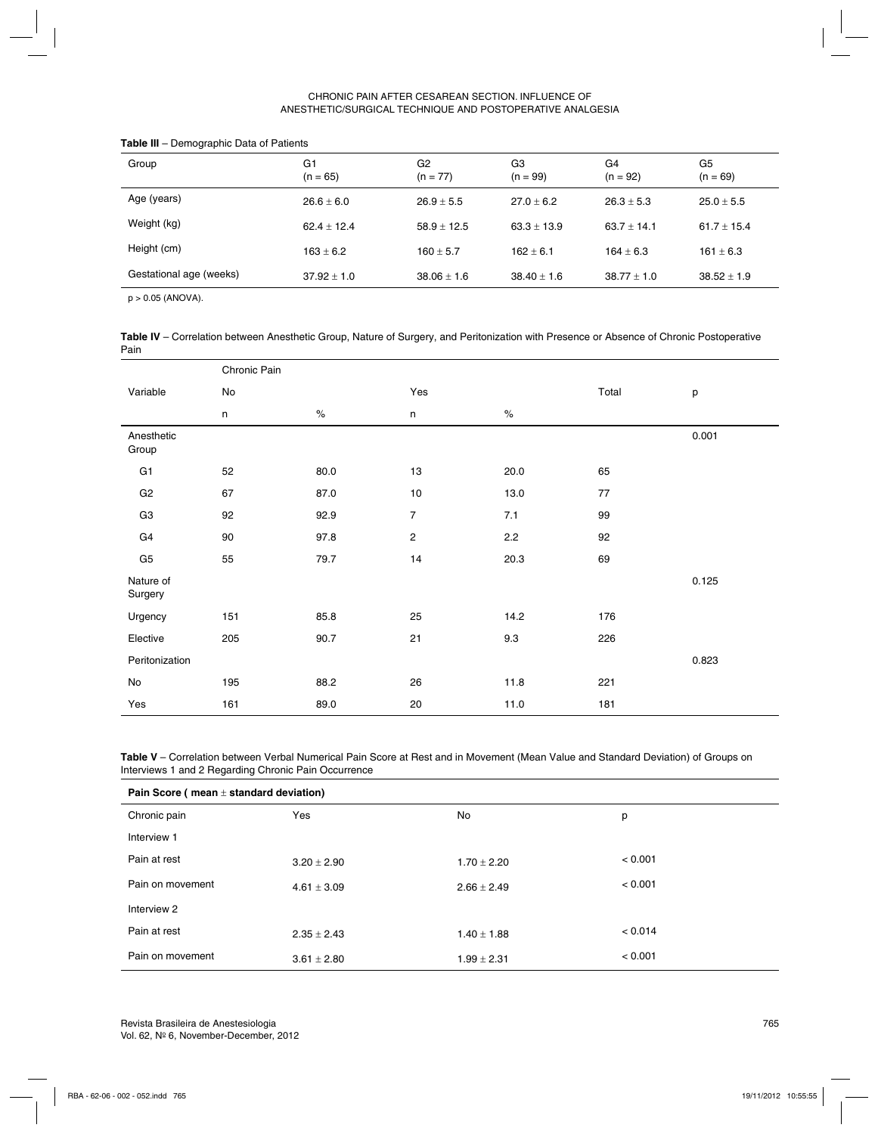### CHRONIC PAIN AFTER CESAREAN SECTION. INFLUENCE OF ANESTHETIC/SURGICAL TECHNIQUE AND POSTOPERATIVE ANALGESIA

| Group                   | G1<br>$(n = 65)$ | G <sub>2</sub><br>$(n = 77)$ | G3<br>$(n = 99)$ | G4<br>$(n = 92)$ | G <sub>5</sub><br>$(n = 69)$ |
|-------------------------|------------------|------------------------------|------------------|------------------|------------------------------|
| Age (years)             | $26.6 + 6.0$     | $26.9 + 5.5$                 | $27.0 + 6.2$     | $26.3 + 5.3$     | $25.0 + 5.5$                 |
| Weight (kg)             | $62.4 + 12.4$    | $58.9 \pm 12.5$              | $63.3 \pm 13.9$  | $63.7 + 14.1$    | 61.7 $\pm$ 15.4              |
| Height (cm)             | $163 + 6.2$      | $160 + 5.7$                  | $162 + 6.1$      | $164 + 6.3$      | $161 \pm 6.3$                |
| Gestational age (weeks) | $37.92 \pm 1.0$  | $38.06 \pm 1.6$              | $38.40 \pm 1.6$  | $38.77 \pm 1.0$  | $38.52 \pm 1.9$              |
|                         |                  |                              |                  |                  |                              |

#### **Table III** – Demographic Data of Patients

p > 0.05 (ANOVA).

**Table IV** – Correlation between Anesthetic Group, Nature of Surgery, and Peritonization with Presence or Absence of Chronic Postoperative Pain

|                      | Chronic Pain  |      |                         |      |       |       |
|----------------------|---------------|------|-------------------------|------|-------|-------|
| Variable             | $\mathsf{No}$ |      | Yes                     |      | Total | р     |
|                      | n             | $\%$ | n                       | $\%$ |       |       |
| Anesthetic<br>Group  |               |      |                         |      |       | 0.001 |
| G1                   | 52            | 80.0 | 13                      | 20.0 | 65    |       |
| G <sub>2</sub>       | 67            | 87.0 | $10\,$                  | 13.0 | 77    |       |
| G <sub>3</sub>       | 92            | 92.9 | $\overline{7}$          | 7.1  | 99    |       |
| G4                   | 90            | 97.8 | $\overline{\mathbf{c}}$ | 2.2  | 92    |       |
| G <sub>5</sub>       | 55            | 79.7 | 14                      | 20.3 | 69    |       |
| Nature of<br>Surgery |               |      |                         |      |       | 0.125 |
| Urgency              | 151           | 85.8 | 25                      | 14.2 | 176   |       |
| Elective             | 205           | 90.7 | 21                      | 9.3  | 226   |       |
| Peritonization       |               |      |                         |      |       | 0.823 |
| No                   | 195           | 88.2 | 26                      | 11.8 | 221   |       |
| Yes                  | 161           | 89.0 | 20                      | 11.0 | 181   |       |

**Table V** – Correlation between Verbal Numerical Pain Score at Rest and in Movement (Mean Value and Standard Deviation) of Groups on Interviews 1 and 2 Regarding Chronic Pain Occurrence

| Pain Score ( $mean \pm$ standard deviation) |                 |                 |         |  |  |
|---------------------------------------------|-----------------|-----------------|---------|--|--|
| Chronic pain                                | Yes             | No              | p       |  |  |
| Interview 1                                 |                 |                 |         |  |  |
| Pain at rest                                | $3.20 \pm 2.90$ | $1.70 \pm 2.20$ | < 0.001 |  |  |
| Pain on movement                            | $4.61 \pm 3.09$ | $2.66 \pm 2.49$ | < 0.001 |  |  |
| Interview 2                                 |                 |                 |         |  |  |
| Pain at rest                                | $2.35 \pm 2.43$ | $1.40 \pm 1.88$ | < 0.014 |  |  |
| Pain on movement                            | $3.61 \pm 2.80$ | $1.99 \pm 2.31$ | < 0.001 |  |  |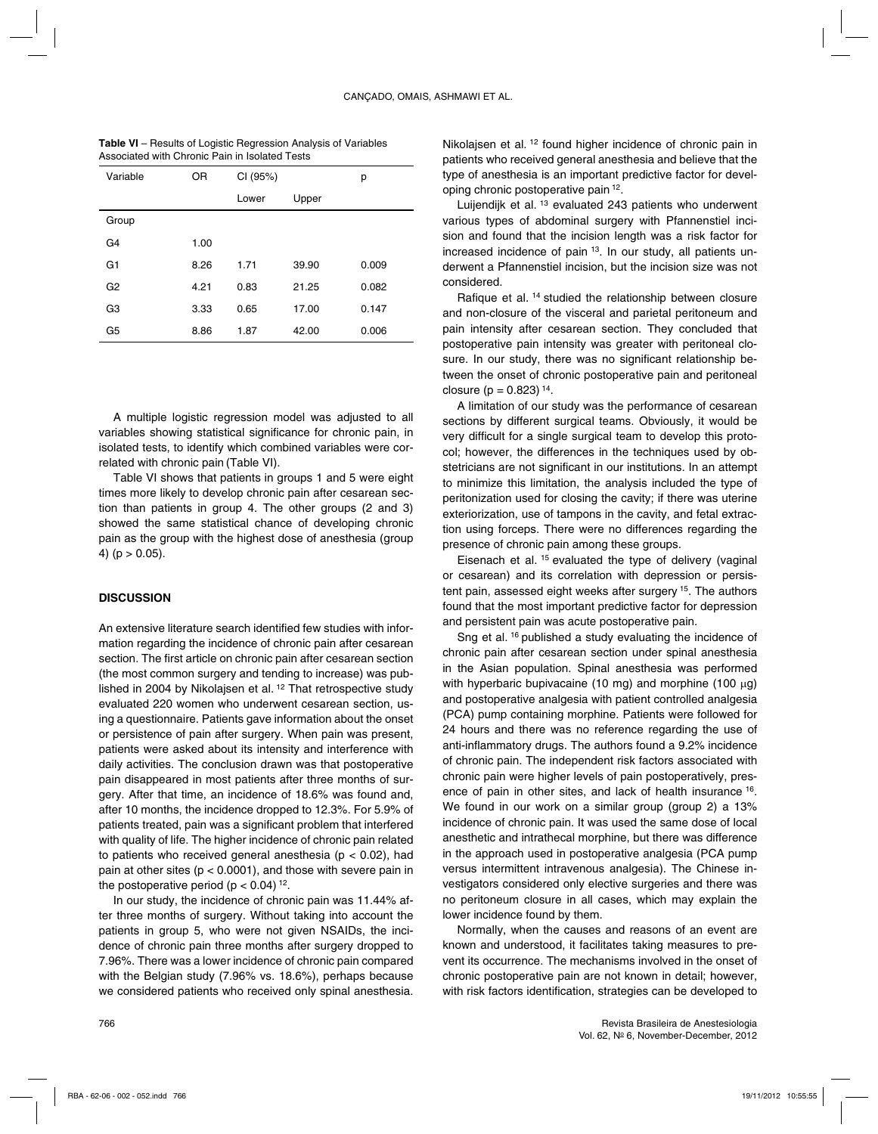| <b>Table VI</b> – Results of Logistic Regression Analysis of Variables |
|------------------------------------------------------------------------|
| Associated with Chronic Pain in Isolated Tests                         |

| Variable       | 0R   | CI (95%) |       | р     |
|----------------|------|----------|-------|-------|
|                |      | Lower    | Upper |       |
| Group          |      |          |       |       |
| G4             | 1.00 |          |       |       |
| G1             | 8.26 | 1.71     | 39.90 | 0.009 |
| G <sub>2</sub> | 4.21 | 0.83     | 21.25 | 0.082 |
| G3             | 3.33 | 0.65     | 17.00 | 0.147 |
| G5             | 8.86 | 1.87     | 42.00 | 0.006 |

A multiple logistic regression model was adjusted to all variables showing statistical significance for chronic pain, in isolated tests, to identify which combined variables were correlated with chronic pain (Table VI).

Table VI shows that patients in groups 1 and 5 were eight times more likely to develop chronic pain after cesarean section than patients in group 4. The other groups (2 and 3) showed the same statistical chance of developing chronic pain as the group with the highest dose of anesthesia (group 4) ( $p > 0.05$ ).

### **DISCUSSION**

An extensive literature search identified few studies with information regarding the incidence of chronic pain after cesarean section. The first article on chronic pain after cesarean section (the most common surgery and tending to increase) was published in 2004 by Nikolajsen et al.<sup>12</sup> That retrospective study evaluated 220 women who underwent cesarean section, using a questionnaire. Patients gave information about the onset or persistence of pain after surgery. When pain was present, patients were asked about its intensity and interference with daily activities. The conclusion drawn was that postoperative pain disappeared in most patients after three months of surgery. After that time, an incidence of 18.6% was found and, after 10 months, the incidence dropped to 12.3%. For 5.9% of patients treated, pain was a significant problem that interfered with quality of life. The higher incidence of chronic pain related to patients who received general anesthesia ( $p < 0.02$ ), had pain at other sites ( $p < 0.0001$ ), and those with severe pain in the postoperative period ( $p < 0.04$ ) <sup>12</sup>.

In our study, the incidence of chronic pain was 11.44% after three months of surgery. Without taking into account the patients in group 5, who were not given NSAIDs, the incidence of chronic pain three months after surgery dropped to 7.96%. There was a lower incidence of chronic pain compared with the Belgian study (7.96% vs. 18.6%), perhaps because we considered patients who received only spinal anesthesia.

Nikolajsen et al.<sup>12</sup> found higher incidence of chronic pain in patients who received general anesthesia and believe that the type of anesthesia is an important predictive factor for developing chronic postoperative pain 12.

Luijendijk et al. 13 evaluated 243 patients who underwent various types of abdominal surgery with Pfannenstiel incision and found that the incision length was a risk factor for increased incidence of pain <sup>13</sup>. In our study, all patients underwent a Pfannenstiel incision, but the incision size was not considered.

Rafique et al. 14 studied the relationship between closure and non-closure of the visceral and parietal peritoneum and pain intensity after cesarean section. They concluded that postoperative pain intensity was greater with peritoneal closure. In our study, there was no significant relationship between the onset of chronic postoperative pain and peritoneal closure ( $p = 0.823$ ) <sup>14</sup>.

A limitation of our study was the performance of cesarean sections by different surgical teams. Obviously, it would be very difficult for a single surgical team to develop this protocol; however, the differences in the techniques used by obstetricians are not significant in our institutions. In an attempt to minimize this limitation, the analysis included the type of peritonization used for closing the cavity; if there was uterine exteriorization, use of tampons in the cavity, and fetal extraction using forceps. There were no differences regarding the presence of chronic pain among these groups.

Eisenach et al. 15 evaluated the type of delivery (vaginal or cesarean) and its correlation with depression or persistent pain, assessed eight weeks after surgery <sup>15</sup>. The authors found that the most important predictive factor for depression and persistent pain was acute postoperative pain.

Sng et al. 16 published a study evaluating the incidence of chronic pain after cesarean section under spinal anesthesia in the Asian population. Spinal anesthesia was performed with hyperbaric bupivacaine (10 mg) and morphine (100  $\mu$ g) and postoperative analgesia with patient controlled analgesia (PCA) pump containing morphine. Patients were followed for 24 hours and there was no reference regarding the use of anti-inflammatory drugs. The authors found a 9.2% incidence of chronic pain. The independent risk factors associated with chronic pain were higher levels of pain postoperatively, presence of pain in other sites, and lack of health insurance 16. We found in our work on a similar group (group 2) a 13% incidence of chronic pain. It was used the same dose of local anesthetic and intrathecal morphine, but there was difference in the approach used in postoperative analgesia (PCA pump versus intermittent intravenous analgesia). The Chinese investigators considered only elective surgeries and there was no peritoneum closure in all cases, which may explain the lower incidence found by them.

Normally, when the causes and reasons of an event are known and understood, it facilitates taking measures to prevent its occurrence. The mechanisms involved in the onset of chronic postoperative pain are not known in detail; however, with risk factors identification, strategies can be developed to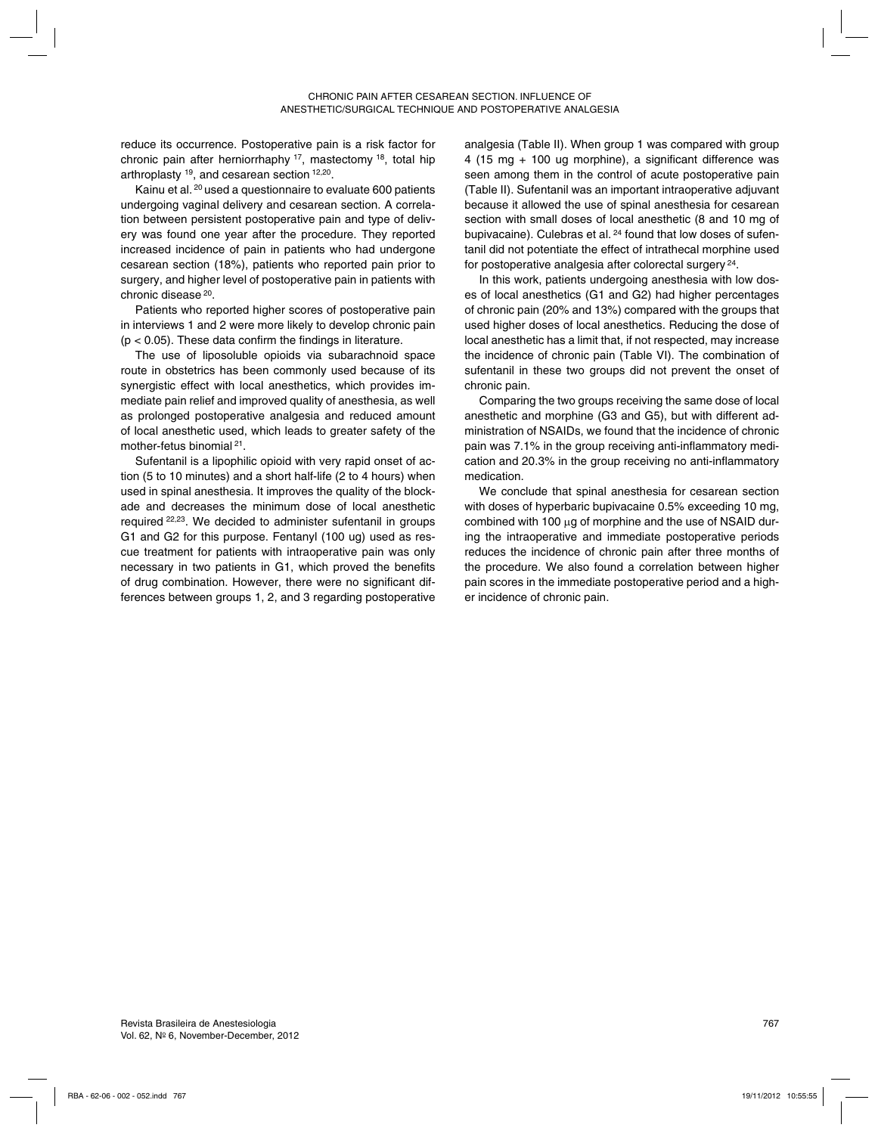reduce its occurrence. Postoperative pain is a risk factor for chronic pain after herniorrhaphy 17, mastectomy 18, total hip arthroplasty 19, and cesarean section 12,20.

Kainu et al. 20 used a questionnaire to evaluate 600 patients undergoing vaginal delivery and cesarean section. A correlation between persistent postoperative pain and type of delivery was found one year after the procedure. They reported increased incidence of pain in patients who had undergone cesarean section (18%), patients who reported pain prior to surgery, and higher level of postoperative pain in patients with chronic disease 20.

Patients who reported higher scores of postoperative pain in interviews 1 and 2 were more likely to develop chronic pain  $(p < 0.05)$ . These data confirm the findings in literature.

The use of liposoluble opioids via subarachnoid space route in obstetrics has been commonly used because of its synergistic effect with local anesthetics, which provides immediate pain relief and improved quality of anesthesia, as well as prolonged postoperative analgesia and reduced amount of local anesthetic used, which leads to greater safety of the mother-fetus binomial 21.

Sufentanil is a lipophilic opioid with very rapid onset of action (5 to 10 minutes) and a short half-life (2 to 4 hours) when used in spinal anesthesia. It improves the quality of the blockade and decreases the minimum dose of local anesthetic required 22,23. We decided to administer sufentanil in groups G1 and G2 for this purpose. Fentanyl (100 ug) used as rescue treatment for patients with intraoperative pain was only necessary in two patients in G1, which proved the benefits of drug combination. However, there were no significant differences between groups 1, 2, and 3 regarding postoperative analgesia (Table II). When group 1 was compared with group 4 (15 mg + 100 ug morphine), a significant difference was seen among them in the control of acute postoperative pain (Table II). Sufentanil was an important intraoperative adjuvant because it allowed the use of spinal anesthesia for cesarean section with small doses of local anesthetic (8 and 10 mg of bupivacaine). Culebras et al. <sup>24</sup> found that low doses of sufentanil did not potentiate the effect of intrathecal morphine used for postoperative analgesia after colorectal surgery 24.

In this work, patients undergoing anesthesia with low doses of local anesthetics (G1 and G2) had higher percentages of chronic pain (20% and 13%) compared with the groups that used higher doses of local anesthetics. Reducing the dose of local anesthetic has a limit that, if not respected, may increase the incidence of chronic pain (Table VI). The combination of sufentanil in these two groups did not prevent the onset of chronic pain.

Comparing the two groups receiving the same dose of local anesthetic and morphine (G3 and G5), but with different administration of NSAIDs, we found that the incidence of chronic pain was 7.1% in the group receiving anti-inflammatory medication and 20.3% in the group receiving no anti-inflammatory medication.

We conclude that spinal anesthesia for cesarean section with doses of hyperbaric bupivacaine 0.5% exceeding 10 mg, combined with 100 µg of morphine and the use of NSAID during the intraoperative and immediate postoperative periods reduces the incidence of chronic pain after three months of the procedure. We also found a correlation between higher pain scores in the immediate postoperative period and a higher incidence of chronic pain.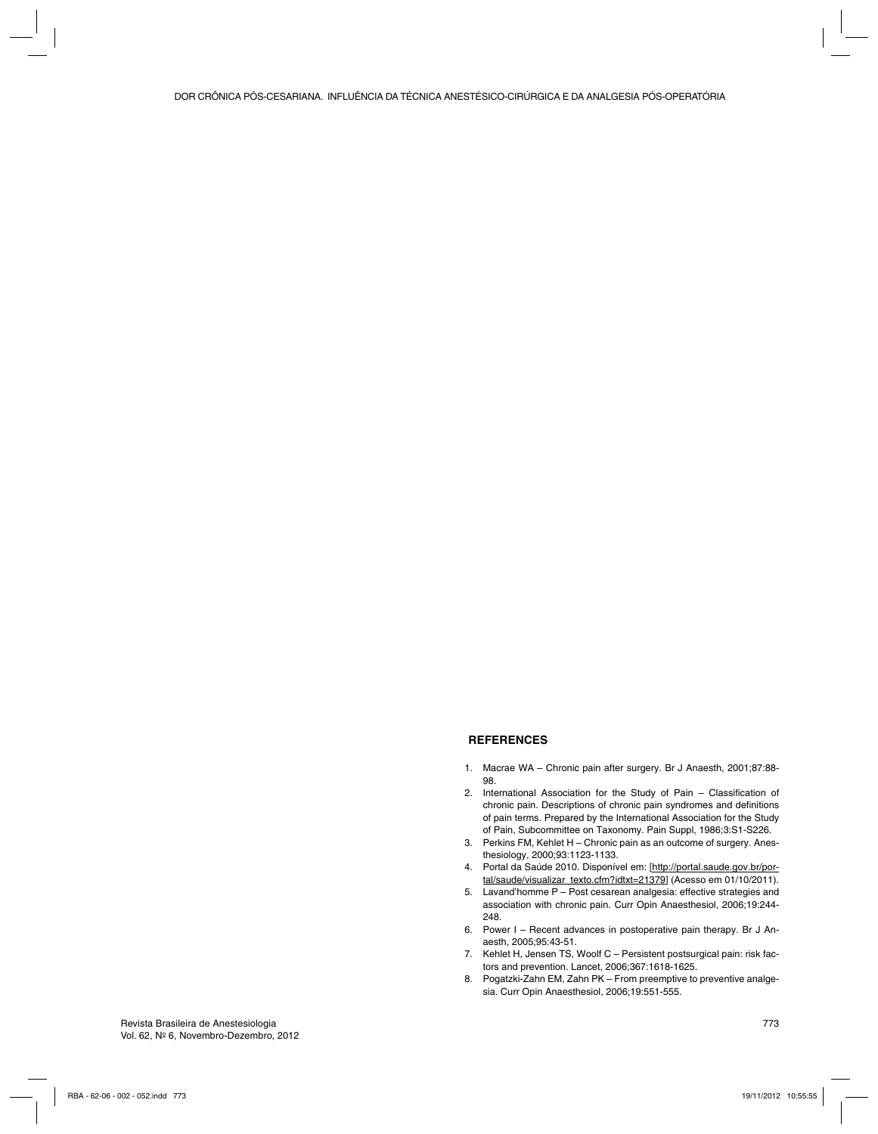## **REFERENCES**

- 1. Macrae WA Chronic pain after surgery. Br J Anaesth, 2001;87:88- 98.
- 2. International Association for the Study of Pain Classification of chronic pain. Descriptions of chronic pain syndromes and definitions of pain terms. Prepared by the International Association for the Study of Pain, Subcommittee on Taxonomy. Pain Suppl, 1986;3:S1-S226.
- 3. Perkins FM, Kehlet H Chronic pain as an outcome of surgery. Anesthesiology, 2000;93:1123-1133.
- 4. Portal da Saúde 2010. Disponível em: [http://portal.saude.gov.br/portal/saude/visualizar\_texto.cfm?idtxt=21379] (Acesso em 01/10/2011).
- 5. Lavand'homme P Post cesarean analgesia: effective strategies and association with chronic pain. Curr Opin Anaesthesiol, 2006;19:244- 248.
- 6. Power I Recent advances in postoperative pain therapy. Br J Anaesth, 2005;95:43-51.
- 7. Kehlet H, Jensen TS, Woolf C Persistent postsurgical pain: risk factors and prevention. Lancet, 2006;367:1618-1625.
- 8. Pogatzki-Zahn EM, Zahn PK From preemptive to preventive analgesia. Curr Opin Anaesthesiol, 2006;19:551-555.